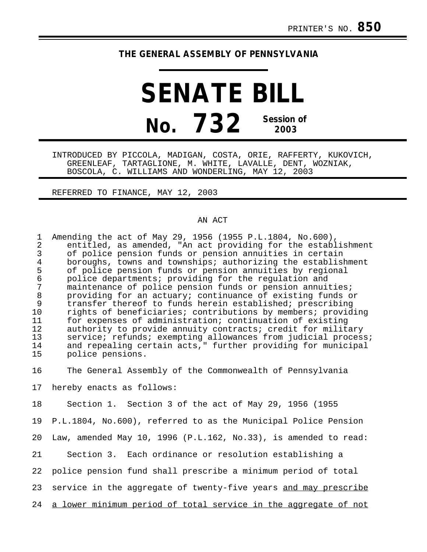## **THE GENERAL ASSEMBLY OF PENNSYLVANIA**

## **SENATE BILL No. 732 Session of 2003**

INTRODUCED BY PICCOLA, MADIGAN, COSTA, ORIE, RAFFERTY, KUKOVICH, GREENLEAF, TARTAGLIONE, M. WHITE, LAVALLE, DENT, WOZNIAK, BOSCOLA, C. WILLIAMS AND WONDERLING, MAY 12, 2003

REFERRED TO FINANCE, MAY 12, 2003

## AN ACT

1 Amending the act of May 29, 1956 (1955 P.L.1804, No.600),<br>2 entitled, as amended, "An act providing for the establ 2 entitled, as amended, "An act providing for the establishment<br>3 of police pension funds or pension annuities in certain 3 of police pension funds or pension annuities in certain 4 boroughs, towns and townships; authorizing the establishment<br>5 of police pension funds or pension annuities by regional 5 of police pension funds or pension annuities by regional<br>6 police departments; providing for the regulation and 6 police departments; providing for the regulation and 7 maintenance of police pension funds or pension annuities;<br>8 oroviding for an actuary; continuance of existing funds o 8 providing for an actuary; continuance of existing funds or 9 transfer thereof to funds herein established; prescribing<br>10 rights of beneficiaries; contributions by members; provid 10 rights of beneficiaries; contributions by members; providing<br>11 for expenses of administration; continuation of existing 11 for expenses of administration; continuation of existing<br>12 authority to provide annuity contracts; credit for milit 12 authority to provide annuity contracts; credit for military<br>13 service; refunds; exempting allowances from judicial process 13 service; refunds; exempting allowances from judicial process;<br>14 and repealing certain acts," further providing for municipal 14 and repealing certain acts," further providing for municipal<br>15 bolice pensions. police pensions.

16 The General Assembly of the Commonwealth of Pennsylvania

17 hereby enacts as follows:

18 Section 1. Section 3 of the act of May 29, 1956 (1955

19 P.L.1804, No.600), referred to as the Municipal Police Pension

20 Law, amended May 10, 1996 (P.L.162, No.33), is amended to read:

21 Section 3. Each ordinance or resolution establishing a

22 police pension fund shall prescribe a minimum period of total

23 service in the aggregate of twenty-five years and may prescribe

24 a lower minimum period of total service in the aggregate of not